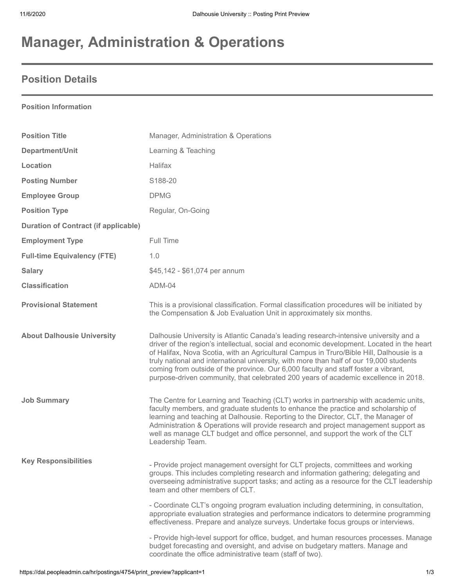# **Manager, Administration & Operations**

## **Position Details**

#### **Position Information**

| <b>Position Title</b>                       | Manager, Administration & Operations                                                                                                                                                                                                                                                                                                                                                                                                                                                                                                                    |
|---------------------------------------------|---------------------------------------------------------------------------------------------------------------------------------------------------------------------------------------------------------------------------------------------------------------------------------------------------------------------------------------------------------------------------------------------------------------------------------------------------------------------------------------------------------------------------------------------------------|
| Department/Unit                             | Learning & Teaching                                                                                                                                                                                                                                                                                                                                                                                                                                                                                                                                     |
| Location                                    | Halifax                                                                                                                                                                                                                                                                                                                                                                                                                                                                                                                                                 |
| <b>Posting Number</b>                       | S188-20                                                                                                                                                                                                                                                                                                                                                                                                                                                                                                                                                 |
| <b>Employee Group</b>                       | <b>DPMG</b>                                                                                                                                                                                                                                                                                                                                                                                                                                                                                                                                             |
| <b>Position Type</b>                        | Regular, On-Going                                                                                                                                                                                                                                                                                                                                                                                                                                                                                                                                       |
| <b>Duration of Contract (if applicable)</b> |                                                                                                                                                                                                                                                                                                                                                                                                                                                                                                                                                         |
| <b>Employment Type</b>                      | Full Time                                                                                                                                                                                                                                                                                                                                                                                                                                                                                                                                               |
| <b>Full-time Equivalency (FTE)</b>          | 1.0                                                                                                                                                                                                                                                                                                                                                                                                                                                                                                                                                     |
| <b>Salary</b>                               | \$45,142 - \$61,074 per annum                                                                                                                                                                                                                                                                                                                                                                                                                                                                                                                           |
| <b>Classification</b>                       | ADM-04                                                                                                                                                                                                                                                                                                                                                                                                                                                                                                                                                  |
| <b>Provisional Statement</b>                | This is a provisional classification. Formal classification procedures will be initiated by<br>the Compensation & Job Evaluation Unit in approximately six months.                                                                                                                                                                                                                                                                                                                                                                                      |
| <b>About Dalhousie University</b>           | Dalhousie University is Atlantic Canada's leading research-intensive university and a<br>driver of the region's intellectual, social and economic development. Located in the heart<br>of Halifax, Nova Scotia, with an Agricultural Campus in Truro/Bible Hill, Dalhousie is a<br>truly national and international university, with more than half of our 19,000 students<br>coming from outside of the province. Our 6,000 faculty and staff foster a vibrant,<br>purpose-driven community, that celebrated 200 years of academic excellence in 2018. |
| <b>Job Summary</b>                          | The Centre for Learning and Teaching (CLT) works in partnership with academic units,<br>faculty members, and graduate students to enhance the practice and scholarship of<br>learning and teaching at Dalhousie. Reporting to the Director, CLT, the Manager of<br>Administration & Operations will provide research and project management support as<br>well as manage CLT budget and office personnel, and support the work of the CLT<br>Leadership Team.                                                                                           |
| <b>Key Responsibilities</b>                 | - Provide project management oversight for CLT projects, committees and working<br>groups. This includes completing research and information gathering; delegating and<br>overseeing administrative support tasks; and acting as a resource for the CLT leadership<br>team and other members of CLT.                                                                                                                                                                                                                                                    |
|                                             | - Coordinate CLT's ongoing program evaluation including determining, in consultation,<br>appropriate evaluation strategies and performance indicators to determine programming<br>effectiveness. Prepare and analyze surveys. Undertake focus groups or interviews.                                                                                                                                                                                                                                                                                     |
|                                             | - Provide high-level support for office, budget, and human resources processes. Manage<br>budget forecasting and oversight, and advise on budgetary matters. Manage and<br>coordinate the office administrative team (staff of two).                                                                                                                                                                                                                                                                                                                    |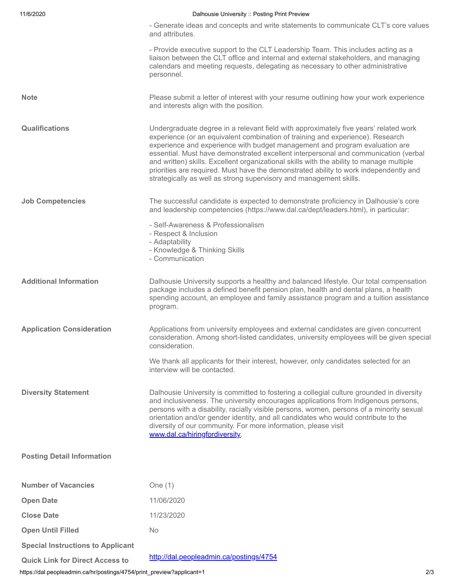| 11/6/2020                                | Dalhousie University :: Posting Print Preview                                                                                                                                                                                                                                                                                                                                                                                                                                                                                                                                                           |
|------------------------------------------|---------------------------------------------------------------------------------------------------------------------------------------------------------------------------------------------------------------------------------------------------------------------------------------------------------------------------------------------------------------------------------------------------------------------------------------------------------------------------------------------------------------------------------------------------------------------------------------------------------|
|                                          | - Generate ideas and concepts and write statements to communicate CLT's core values<br>and attributes.                                                                                                                                                                                                                                                                                                                                                                                                                                                                                                  |
|                                          | - Provide executive support to the CLT Leadership Team. This includes acting as a<br>liaison between the CLT office and internal and external stakeholders, and managing<br>calendars and meeting requests, delegating as necessary to other administrative<br>personnel.                                                                                                                                                                                                                                                                                                                               |
| <b>Note</b>                              | Please submit a letter of interest with your resume outlining how your work experience<br>and interests align with the position.                                                                                                                                                                                                                                                                                                                                                                                                                                                                        |
| <b>Qualifications</b>                    | Undergraduate degree in a relevant field with approximately five years' related work<br>experience (or an equivalent combination of training and experience). Research<br>experience and experience with budget management and program evaluation are<br>essential. Must have demonstrated excellent interpersonal and communication (verbal<br>and written) skills. Excellent organizational skills with the ability to manage multiple<br>priorities are required. Must have the demonstrated ability to work independently and<br>strategically as well as strong supervisory and management skills. |
| <b>Job Competencies</b>                  | The successful candidate is expected to demonstrate proficiency in Dalhousie's core<br>and leadership competencies (https://www.dal.ca/dept/leaders.html), in particular:                                                                                                                                                                                                                                                                                                                                                                                                                               |
|                                          | - Self-Awareness & Professionalism<br>- Respect & Inclusion<br>- Adaptability<br>- Knowledge & Thinking Skills<br>- Communication                                                                                                                                                                                                                                                                                                                                                                                                                                                                       |
| <b>Additional Information</b>            | Dalhousie University supports a healthy and balanced lifestyle. Our total compensation<br>package includes a defined benefit pension plan, health and dental plans, a health<br>spending account, an employee and family assistance program and a tuition assistance<br>program.                                                                                                                                                                                                                                                                                                                        |
| <b>Application Consideration</b>         | Applications from university employees and external candidates are given concurrent<br>consideration. Among short-listed candidates, university employees will be given special<br>consideration.                                                                                                                                                                                                                                                                                                                                                                                                       |
|                                          | We thank all applicants for their interest, however, only candidates selected for an<br>interview will be contacted.                                                                                                                                                                                                                                                                                                                                                                                                                                                                                    |
| <b>Diversity Statement</b>               | Dalhousie University is committed to fostering a collegial culture grounded in diversity<br>and inclusiveness. The university encourages applications from Indigenous persons,<br>persons with a disability, racially visible persons, women, persons of a minority sexual<br>orientation and/or gender identity, and all candidates who would contribute to the<br>diversity of our community. For more information, please visit<br>www.dal.ca/hiringfordiversity.                                                                                                                                    |
| <b>Posting Detail Information</b>        |                                                                                                                                                                                                                                                                                                                                                                                                                                                                                                                                                                                                         |
| <b>Number of Vacancies</b>               | One $(1)$                                                                                                                                                                                                                                                                                                                                                                                                                                                                                                                                                                                               |
| <b>Open Date</b>                         | 11/06/2020                                                                                                                                                                                                                                                                                                                                                                                                                                                                                                                                                                                              |
| <b>Close Date</b>                        | 11/23/2020                                                                                                                                                                                                                                                                                                                                                                                                                                                                                                                                                                                              |
| <b>Open Until Filled</b>                 | <b>No</b>                                                                                                                                                                                                                                                                                                                                                                                                                                                                                                                                                                                               |
| <b>Special Instructions to Applicant</b> |                                                                                                                                                                                                                                                                                                                                                                                                                                                                                                                                                                                                         |
| <b>Quick Link for Direct Access to</b>   | http://dal.peopleadmin.ca/postings/4754                                                                                                                                                                                                                                                                                                                                                                                                                                                                                                                                                                 |

https://dal.peopleadmin.ca/hr/postings/4754/print\_preview?applicant=1 2/3